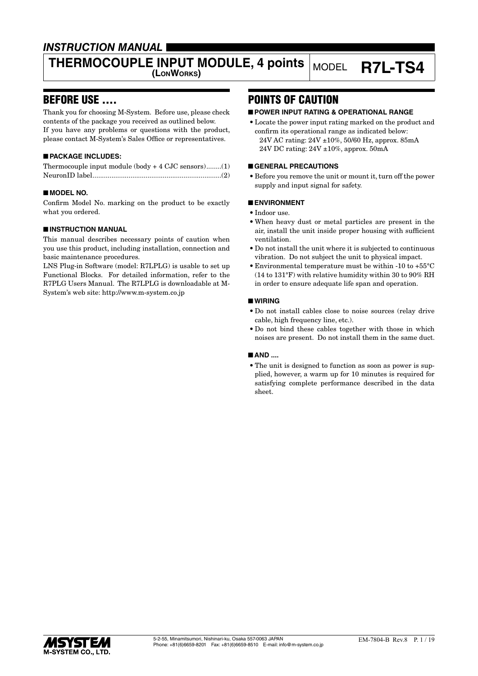### *INSTRUCTION MANUAL*

# **THERMOCOUPLE INPUT MODULE, 4 points** MODEL **R7L-TS4**

### BEFORE USE ....

Thank you for choosing M-System. Before use, please check contents of the package you received as outlined below. If you have any problems or questions with the product, please contact M-System's Sales Office or representatives.

#### ■ **PACKAGE INCLUDES:**

| Thermocouple input module $(body + 4$ CJC sensors)(1) |  |
|-------------------------------------------------------|--|
|                                                       |  |

#### ■ **MODEL NO.**

Confirm Model No. marking on the product to be exactly what you ordered.

#### ■ **INSTRUCTION MANUAL**

This manual describes necessary points of caution when you use this product, including installation, connection and basic maintenance procedures.

LNS Plug-in Software (model: R7LPLG) is usable to set up Functional Blocks. For detailed information, refer to the R7PLG Users Manual. The R7LPLG is downloadable at M-System's web site: http://www.m-system.co.jp

### POINTS OF CAUTION

#### ■ **POWER INPUT RATING & OPERATIONAL RANGE**

• Locate the power input rating marked on the product and confirm its operational range as indicated below: 24V AC rating: 24V ±10%, 50/60 Hz, approx. 85mA 24V DC rating: 24V ±10%, approx. 50mA

#### ■ **GENERAL PRECAUTIONS**

• Before you remove the unit or mount it, turn off the power supply and input signal for safety.

#### ■ **ENVIRONMENT**

- Indoor use.
- When heavy dust or metal particles are present in the air, install the unit inside proper housing with sufficient ventilation.
- Do not install the unit where it is subjected to continuous vibration. Do not subject the unit to physical impact.
- Environmental temperature must be within -10 to +55°C (14 to 131°F) with relative humidity within 30 to 90% RH in order to ensure adequate life span and operation.

#### ■ **WIRING**

- Do not install cables close to noise sources (relay drive cable, high frequency line, etc.).
- Do not bind these cables together with those in which noises are present. Do not install them in the same duct.

#### ■ **AND** ....

• The unit is designed to function as soon as power is supplied, however, a warm up for 10 minutes is required for satisfying complete performance described in the data sheet.

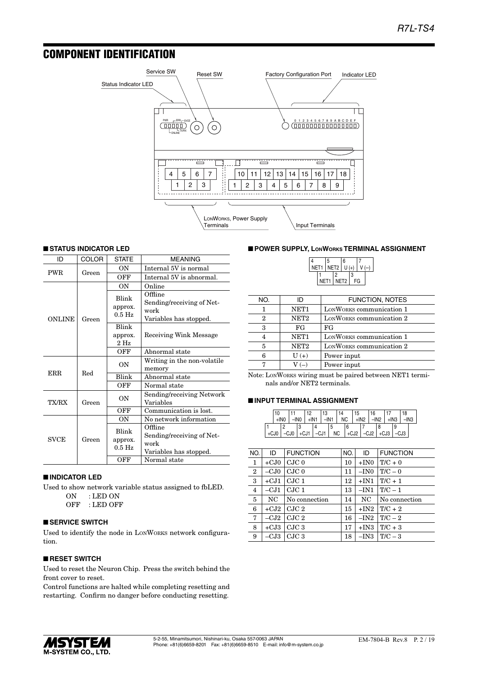### COMPONENT IDENTIFICATION



#### ■ **STATUS INDICATOR LED**

| ID            | COLOR | <b>STATE</b>                           | <b>MEANING</b>                                                         |
|---------------|-------|----------------------------------------|------------------------------------------------------------------------|
| <b>PWR</b>    | Green | OΝ                                     | Internal 5V is normal                                                  |
|               |       | OFF                                    | Internal 5V is abnormal.                                               |
|               |       | ON                                     | Online                                                                 |
| <b>ONLINE</b> | Green | Blink<br>approx.<br>$0.5$ Hz           | Offline<br>Sending/receiving of Net-<br>work<br>Variables has stopped. |
|               |       | Blink                                  |                                                                        |
|               |       | approx.<br>$2$ Hz                      | Receiving Wink Message                                                 |
|               |       | OFF                                    | Abnormal state                                                         |
|               |       | ON                                     | Writing in the non-volatile<br>memory                                  |
| <b>ERR</b>    | Red   | Blink                                  | Abnormal state                                                         |
|               |       | OFF                                    | Normal state                                                           |
| TX/RX         | Green | ON                                     | Sending/receiving Network<br>Variables                                 |
|               |       | OFF                                    | Communication is lost.                                                 |
|               |       | OΝ                                     | No network information                                                 |
| <b>SVCE</b>   | Green | Blink<br>approx.<br>$0.5\ \mathrm{Hz}$ | Offline<br>Sending/receiving of Net-<br>work<br>Variables has stopped. |
|               |       | OFF                                    | Normal state                                                           |

#### ■ **INDICATOR LED**

Used to show network variable status assigned to fbLED. ON : LED ON

OFF : LED OFF

#### ■ **SERVICE SWITCH**

Used to identify the node in LONWORKS network configuration.

#### ■ **RESET SWITCH**

Used to reset the Neuron Chip. Press the switch behind the front cover to reset.

Control functions are halted while completing resetting and restarting. Confirm no danger before conducting resetting.

#### ■ **POWER SUPPLY, LONWORKS TERMINAL ASSIGNMENT**

|  |                     | 5 |   | $6\overline{6}$  |   |    |  |
|--|---------------------|---|---|------------------|---|----|--|
|  | NET1   NET2   U (+) |   |   |                  |   |    |  |
|  |                     |   | 2 |                  | 3 |    |  |
|  | NET1                |   |   | NET <sub>2</sub> |   | FG |  |

| NO. | ID               | <b>FUNCTION, NOTES</b>   |
|-----|------------------|--------------------------|
|     | NET <sub>1</sub> | LONWORKS communication 1 |
| 2   | NET <sub>2</sub> | LONWORKS communication 2 |
| 3   | FG               | FG                       |
| 4   | NET <sub>1</sub> | LONWORKS communication 1 |
| 5   | NET <sub>2</sub> | LONWORKS communication 2 |
| 6   | $U(+)$           | Power input              |
|     | $V(-)$           | Power input              |

Note: LONWORKS wiring must be paired between NET1 terminals and/or NET2 terminals.

#### ■ **INPUT TERMINAL ASSIGNMENT**

|  | 10<br>$+1N0$ |  | 12<br>$-$ INO $+$ IN1 | 13<br>$I - IN1$           |           | 14<br>NC | 15<br>$+$ IN2 | 16 | $-IN2$ +IN3                         |   | 18<br>$-IN3$ |  |
|--|--------------|--|-----------------------|---------------------------|-----------|----------|---------------|----|-------------------------------------|---|--------------|--|
|  |              |  |                       |                           |           |          |               |    |                                     | q |              |  |
|  |              |  |                       | +CJ0   -CJ0   +CJ1   -CJ1 | <b>NC</b> |          |               |    | $ $ +CJ2 $ $ -CJ2 $ $ +CJ3 $ $ -CJ3 |   |              |  |

| NO.            | ID     | <b>FUNCTION</b>  | NO. | ID     | <b>FUNCTION</b> |
|----------------|--------|------------------|-----|--------|-----------------|
| 1              | $+CJ0$ | CJC <sub>0</sub> | 10  | $+IN0$ | $T/C + 0$       |
| $\overline{2}$ | $-CJ0$ | CJC <sub>0</sub> | 11  | $-IN0$ | $T/C = 0$       |
| 3              | $+CJ1$ | $C$ J $C1$       | 12  | $+IN1$ | $T/C + 1$       |
| $\overline{4}$ | $-CJ1$ | CJC1             | 13  | $-IN1$ | $T/C-1$         |
| 5              | NC     | No connection    | 14  | NC     | No connection   |
| 6              | $+CJ2$ | CJC 2            | 15  | $+IN2$ | $T/C + 2$       |
| 7              | $-CJ2$ | CJC 2            | 16  | $-IN2$ | $T/C-2$         |
| 8              | $+CJ3$ | CJC3             | 17  | $+IN3$ | $T/C + 3$       |
| 9              | $-CJ3$ | CJC <sub>3</sub> | 18  | $-IN3$ | $T/C-3$         |
|                |        |                  |     |        |                 |

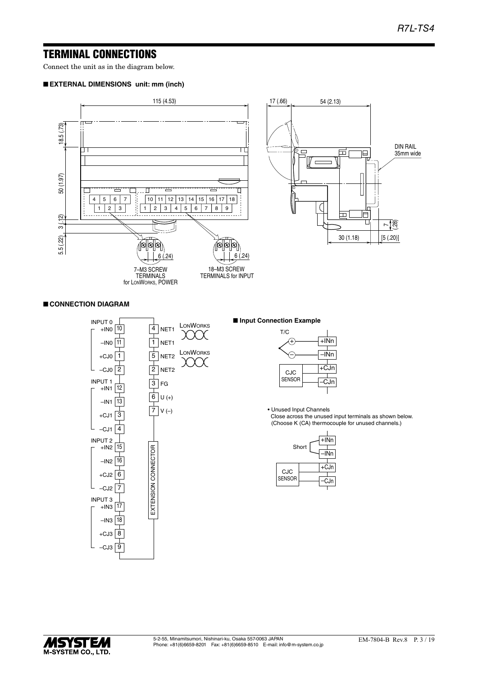### TERMINAL CONNECTIONS

Connect the unit as in the diagram below.

#### ■ **EXTERNAL DIMENSIONS unit: mm (inch)**



#### ■ **CONNECTION DIAGRAM**



#### ■ **Input Connection Example**

| T/C    |        |      |
|--------|--------|------|
|        | $+INn$ |      |
|        |        | -INn |
|        |        |      |
| CJC    |        | +CJn |
| SENSOR |        | CJn  |
|        |        |      |

• Unused Input Channels Close across the unused input terminals as shown below. (Choose K (CA) thermocouple for unused channels.)

|               | Short | +INn<br>INn |
|---------------|-------|-------------|
| CJC           |       | $+CJn$      |
| <b>SENSOR</b> |       | CJn         |

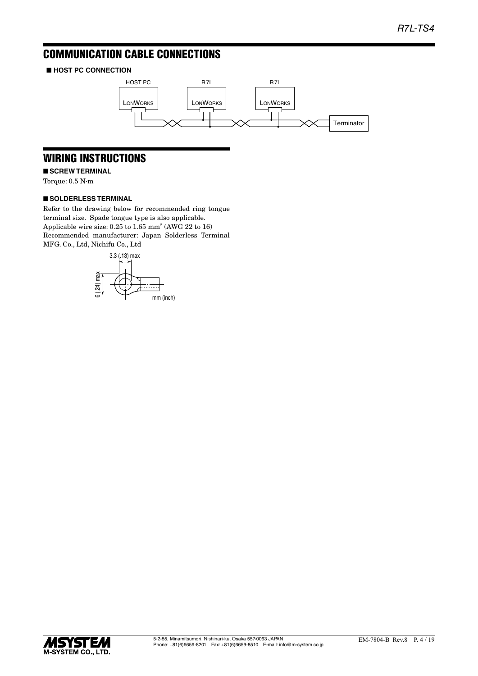## COMMUNICATION CABLE CONNECTIONS

### ■ **HOST PC CONNECTION**



## WIRING INSTRUCTIONS

■ **SCREW TERMINAL** 

Torque: 0.5 N·m

#### ■ **SOLDERLESS TERMINAL**

Refer to the drawing below for recommended ring tongue terminal size. Spade tongue type is also applicable. Applicable wire size: 0.25 to 1.65 mm<sup>2</sup> (AWG 22 to 16) Recommended manufacturer: Japan Solderless Terminal MFG. Co., Ltd, Nichifu Co., Ltd



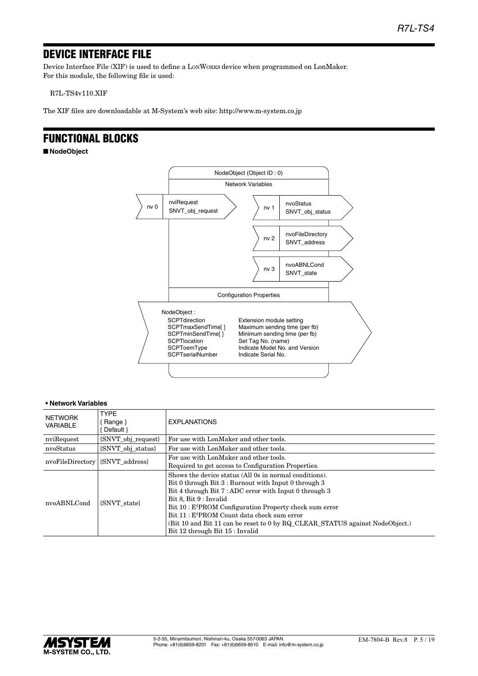### DEVICE INTERFACE FILE

Device Interface File (XIF) is used to define a LONWORKS device when programmed on LonMaker. For this module, the following file is used:

R7L-TS4v110.XIF

The XIF files are downloadable at M-System's web site: http://www.m-system.co.jp

### FUNCTIONAL BLOCKS

■ **NodeObject**



| <b>NETWORK</b><br><b>VARIABLE</b> | <b>TYPF</b><br>Range }<br>Default }                         | <b>EXPLANATIONS</b>                                                                                                                                                                                                                                                                                                                                                                                                                                   |  |  |
|-----------------------------------|-------------------------------------------------------------|-------------------------------------------------------------------------------------------------------------------------------------------------------------------------------------------------------------------------------------------------------------------------------------------------------------------------------------------------------------------------------------------------------------------------------------------------------|--|--|
| nviRequest                        | {SNVT_obj_request}                                          | For use with LonMaker and other tools.                                                                                                                                                                                                                                                                                                                                                                                                                |  |  |
| nvoStatus                         | {SNVT obj status}<br>For use with LonMaker and other tools. |                                                                                                                                                                                                                                                                                                                                                                                                                                                       |  |  |
| nvoFileDirectory                  | {SNVT address}                                              | For use with LonMaker and other tools.<br>Required to get access to Configuration Properties.                                                                                                                                                                                                                                                                                                                                                         |  |  |
| nvoABNLCond                       | <b>SNVT</b> state                                           | Shows the device status (All 0s in normal conditions).<br>Bit 0 through Bit 3 : Burnout with Input 0 through 3<br>Bit 4 through Bit 7: ADC error with Input 0 through 3<br>Bit 8, Bit 9 : Invalid<br>Bit 10: E <sup>2</sup> PROM Configuration Property check sum error<br>Bit 11 : E <sup>2</sup> PROM Count data check sum error<br>(Bit 10 and Bit 11 can be reset to 0 by RQ CLEAR STATUS against NodeObject.)<br>Bit 12 through Bit 15 : Invalid |  |  |

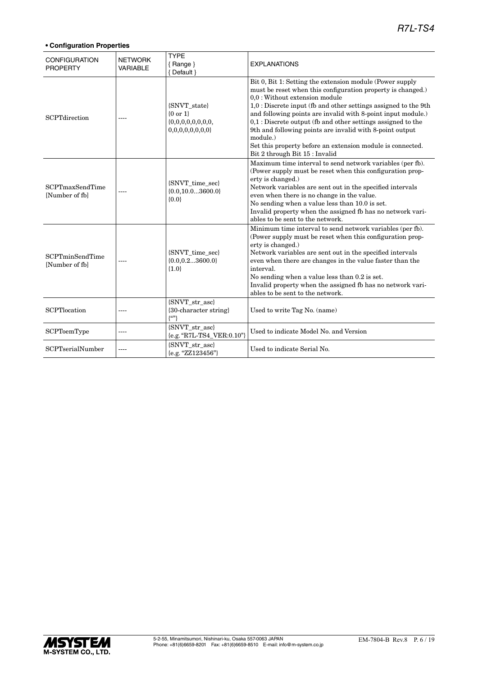| <b>CONFIGURATION</b><br><b>PROPERTY</b>  | <b>NETWORK</b><br><b>VARIABLE</b> | <b>TYPE</b><br>$\{$ Range $\}$<br>{ Default }           | <b>EXPLANATIONS</b>                                                                                                                                                                                                                                                                                                                                                                                                                                                                                                                    |
|------------------------------------------|-----------------------------------|---------------------------------------------------------|----------------------------------------------------------------------------------------------------------------------------------------------------------------------------------------------------------------------------------------------------------------------------------------------------------------------------------------------------------------------------------------------------------------------------------------------------------------------------------------------------------------------------------------|
| <b>SCPTdirection</b>                     |                                   | {SNVT_state}<br>${0 or 1}$<br>0,0,0,0,0,0,0,0           | Bit 0, Bit 1: Setting the extension module (Power supply<br>must be reset when this configuration property is changed.)<br>0,0 : Without extension module<br>1,0 : Discrete input (fb and other settings assigned to the 9th<br>and following points are invalid with 8-point input module.)<br>$0,1$ : Discrete output (fb and other settings assigned to the<br>9th and following points are invalid with 8-point output<br>module.)<br>Set this property before an extension module is connected.<br>Bit 2 through Bit 15 : Invalid |
| <b>SCPTmaxSendTime</b><br>[Number of fb] |                                   | {SNVT_time_sec}<br>${0.0, 10.03600.0}$<br>${0.0}$       | Maximum time interval to send network variables (per fb).<br>(Power supply must be reset when this configuration prop-<br>erty is changed.)<br>Network variables are sent out in the specified intervals<br>even when there is no change in the value.<br>No sending when a value less than 10.0 is set.<br>Invalid property when the assigned fb has no network vari-<br>ables to be sent to the network.                                                                                                                             |
| <b>SCPTminSendTime</b><br>[Number of fb] |                                   | {SNVT_time_sec}<br>${0.0, 0.23600.0}$<br>${1.0}$        | Minimum time interval to send network variables (per fb).<br>(Power supply must be reset when this configuration prop-<br>erty is changed.)<br>Network variables are sent out in the specified intervals<br>even when there are changes in the value faster than the<br>interval.<br>No sending when a value less than 0.2 is set.<br>Invalid property when the assigned fb has no network vari-<br>ables to be sent to the network.                                                                                                   |
| SCPTlocation                             | ----                              | {SNVT_str_asc}<br>{30-character string}<br>$\{^{(c)}\}$ | Used to write Tag No. (name)                                                                                                                                                                                                                                                                                                                                                                                                                                                                                                           |
| <b>SCPToemType</b>                       | ----                              | {SNVT_str_asc}<br>{e.g. "R7L-TS4_VER:0.10"}             | Used to indicate Model No. and Version                                                                                                                                                                                                                                                                                                                                                                                                                                                                                                 |
| SCPTserialNumber                         |                                   | {SNVT str asc}<br>{e.g. "ZZ123456"}                     | Used to indicate Serial No.                                                                                                                                                                                                                                                                                                                                                                                                                                                                                                            |

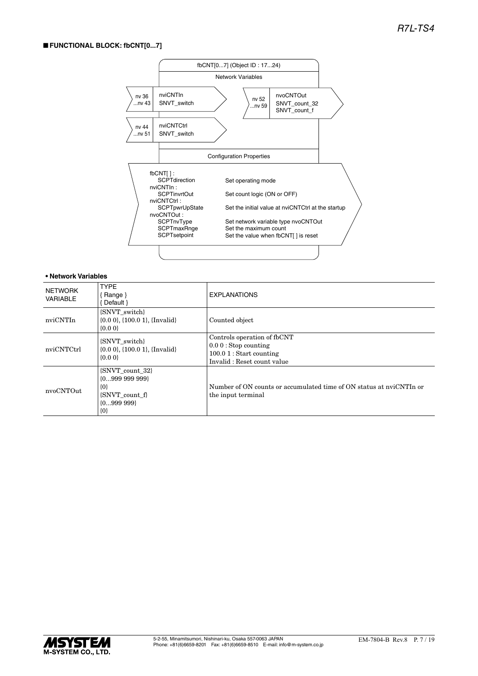#### ■ **FUNCTIONAL BLOCK: fbCNT[0...7]**



| NETWORK<br>VARIABLE | <b>TYPE</b><br>{Range}<br>Default }                                                     | <b>EXPLANATIONS</b>                                                                                              |
|---------------------|-----------------------------------------------------------------------------------------|------------------------------------------------------------------------------------------------------------------|
| nviCNTIn            | {SNVT switch}<br>$\{0.0\ 0\}$ , $\{100.0\ 1\}$ , $\{Invalid\}$<br>$\{0.0\}$             | Counted object                                                                                                   |
| nviCNTCtrl          | {SNVT switch}<br>$\{0.0\ 0\}$ , $\{100.0\ 1\}$ , $\{Invalid\}$<br>${0.00}$              | Controls operation of fbCNT<br>$0.00$ : Stop counting<br>$100.01$ : Start counting<br>Invalid: Reset count value |
| nvoCNTOut           | {SNVT_count_32}<br>${099999999}$<br>$\{0\}$<br>{SNVT count f}<br>${0999999}$<br>$\{0\}$ | Number of ON counts or accumulated time of ON status at nyiCNTIn or<br>the input terminal                        |

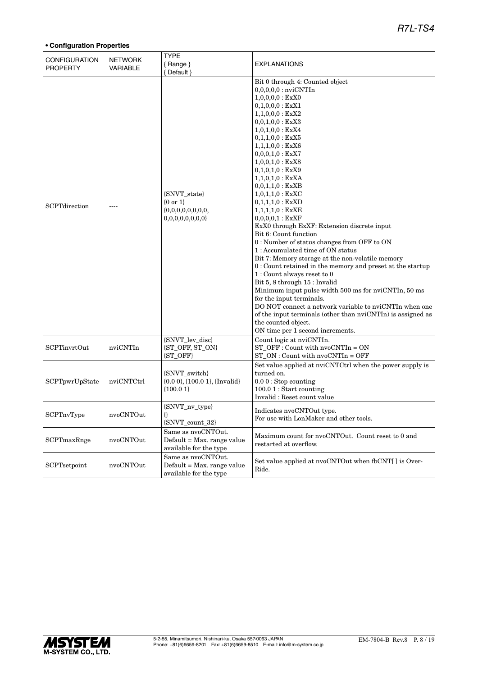| <b>CONFIGURATION</b><br><b>PROPERTY</b> | <b>NETWORK</b><br><b>VARIABLE</b> | <b>TYPE</b><br>${Range}$<br>{ Default }                                    | <b>EXPLANATIONS</b>                                                                                                                                                                                                                                                                                                                                                                                                                                                                                                                                                                                                                                                                                                                                                                                                                                                                                                                                                                                                                                          |
|-----------------------------------------|-----------------------------------|----------------------------------------------------------------------------|--------------------------------------------------------------------------------------------------------------------------------------------------------------------------------------------------------------------------------------------------------------------------------------------------------------------------------------------------------------------------------------------------------------------------------------------------------------------------------------------------------------------------------------------------------------------------------------------------------------------------------------------------------------------------------------------------------------------------------------------------------------------------------------------------------------------------------------------------------------------------------------------------------------------------------------------------------------------------------------------------------------------------------------------------------------|
| <b>SCPT</b> direction                   |                                   | {SNVT_state}<br>$\{0 \text{ or } 1\}$<br>0,0,0,0,0,0,0,0                   | Bit 0 through 4: Counted object<br>$0,0,0,0,0$ : nvi $\mathrm{CNTIn}$<br>$1,0,0,0,0$ : ExX0<br>$0,1,0,0,0$ : ExX1<br>$1,1,0,0,0$ : ExX2<br>$0,0,1,0,0$ : ExX3<br>$1,0,1,0,0$ : ExX4<br>$0,1,1,0,0$ : ExX5<br>$1,1,1,0,0$ : ExX6<br>$0,0,0,1,0:$ ExX7<br>$1,0,0,1,0$ : ExX8<br>$0,1,0,1,0:$ ExX9<br>$1,1,0,1,0$ : ExXA<br>0,0,1,1,0 : ExXB<br>$1,0,1,1,0:$ ExXC<br>$0,1,1,1,0:$ ExXD<br>$1,1,1,1,0:$ $\text{ExXE}$<br>0,0,0,0,1 : EXXF<br>ExX0 through ExXF: Extension discrete input<br>Bit 6: Count function<br>0 : Number of status changes from OFF to ON<br>1: Accumulated time of ON status<br>Bit 7: Memory storage at the non-volatile memory<br>0: Count retained in the memory and preset at the startup<br>$1:$ Count always reset to $0$<br>Bit 5, 8 through 15 : Invalid<br>Minimum input pulse width 500 ms for nviCNTIn, 50 ms<br>for the input terminals.<br>DO NOT connect a network variable to nviCNTIn when one<br>of the input terminals (other than nviCNTIn) is assigned as<br>the counted object.<br>ON time per 1 second increments. |
| <b>SCPTinvrtOut</b>                     | nviCNTIn                          | {SNVT_lev_disc}<br>{ST_OFF, ST_ON}<br>{ST_OFF}                             | Count logic at nviCNTIn.<br>$ST$ OFF : Count with $nvoCNTIn = ON$<br>$ST_ON:$ Count with $nvoCNTIn = OFF$                                                                                                                                                                                                                                                                                                                                                                                                                                                                                                                                                                                                                                                                                                                                                                                                                                                                                                                                                    |
| SCPTpwrUpState                          | nviCNTCtrl                        | {SNVT_switch}<br>$\{0.00\}$ , $\{100.01\}$ , $\{Invalid\}$<br>${100.01}$   | Set value applied at nviCNTCtrl when the power supply is<br>turned on.<br>$0.00$ : Stop counting<br>$100.01$ : Start counting<br>Invalid: Reset count value                                                                                                                                                                                                                                                                                                                                                                                                                                                                                                                                                                                                                                                                                                                                                                                                                                                                                                  |
| SCPTnvType                              | nvoCNTOut                         | <b>SNVT</b> nv type<br>₩<br>{SNVT_count_32}                                | Indicates nvoCNTOut type.<br>For use with LonMaker and other tools.                                                                                                                                                                                                                                                                                                                                                                                                                                                                                                                                                                                                                                                                                                                                                                                                                                                                                                                                                                                          |
| SCPTmaxRnge                             | nvoCNTOut                         | Same as nvoCNTOut.<br>Default = Max. range value<br>available for the type | Maximum count for nvoCNTOut. Count reset to 0 and<br>restarted at overflow.                                                                                                                                                                                                                                                                                                                                                                                                                                                                                                                                                                                                                                                                                                                                                                                                                                                                                                                                                                                  |
| SCPTsetpoint                            | nvoCNTOut                         | Same as nvoCNTOut.<br>Default = Max. range value<br>available for the type | Set value applied at nvoCNTOut when fbCNT[] is Over-<br>Ride.                                                                                                                                                                                                                                                                                                                                                                                                                                                                                                                                                                                                                                                                                                                                                                                                                                                                                                                                                                                                |

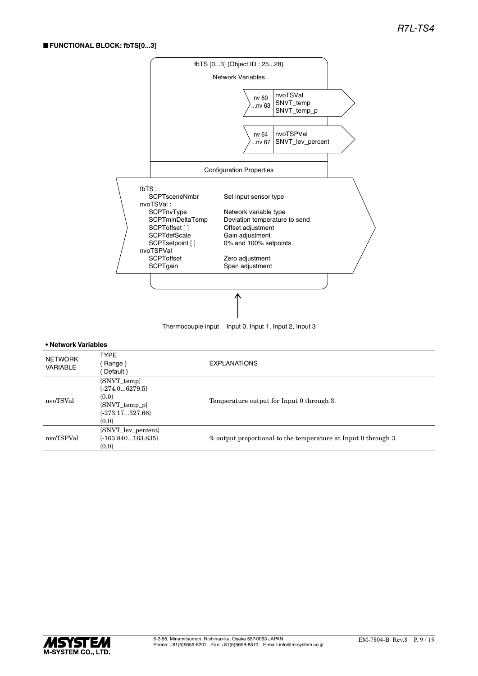#### ■ **FUNCTIONAL BLOCK: fbTS[0...3]**



| Thermocouple input    Input 0, Input 1, Input 2, Input 3 |  |
|----------------------------------------------------------|--|
|                                                          |  |

| NETWORK<br><b>VARIABLE</b> | <b>TYPE</b><br>{Range}<br>Default }                                                             | <b>EXPLANATIONS</b>                                            |
|----------------------------|-------------------------------------------------------------------------------------------------|----------------------------------------------------------------|
| nvoTSVal                   | {SNVT_temp}<br>$\{-274.06279.5\}$<br>${0.0}$<br>{SNVT_temp_p}<br>$\{-273.17327.66\}$<br>${0.0}$ | Temperature output for Input 0 through 3.                      |
| nvoTSPVal                  | {SNVT_lev_percent}<br>$\{-163.840163.835\}$<br>${0.0}$                                          | % output proportional to the temperature at Input 0 through 3. |

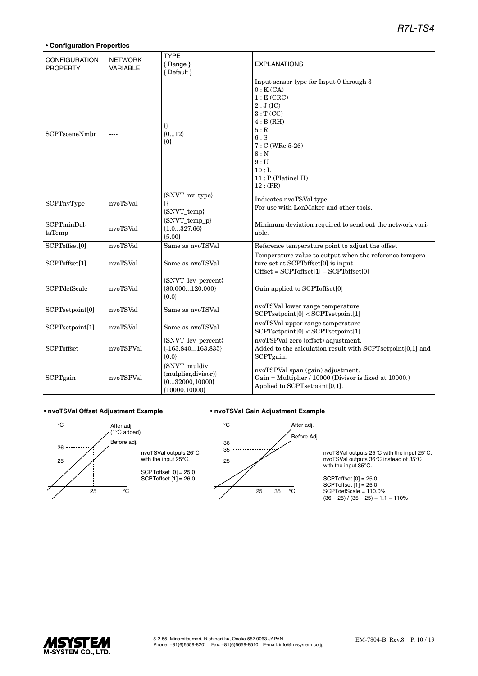#### **• Configuration Properties**

| <b>CONFIGURATION</b><br><b>PROPERTY</b> | <b>NETWORK</b><br>VARIABLE | <b>TYPE</b><br>${Range}$<br>{ Default }                                     | <b>EXPLANATIONS</b>                                                                                                                                                                                    |
|-----------------------------------------|----------------------------|-----------------------------------------------------------------------------|--------------------------------------------------------------------------------------------------------------------------------------------------------------------------------------------------------|
| <b>SCPTsceneNmbr</b>                    |                            | ₿<br>${012}$<br>$\{0\}$                                                     | Input sensor type for Input 0 through 3<br>0: K(CA)<br>1: E(CRC)<br>2:J(IC)<br>3: T(CC)<br>4: B(RH)<br>5:R<br>$6:$ S<br>$7: C (WRe 5-26)$<br>$8:$ N<br>9:U<br>10:<br>$11$ : P (Platinel II)<br>12:(PR) |
| SCPTnvType                              | nvoTSVal                   | {SNVT_nv_type}<br>{}<br>{SNVT_temp}                                         | Indicates nvoTSVal type.<br>For use with LonMaker and other tools.                                                                                                                                     |
| SCPTminDel-<br>taTemp                   | nvoTSVal                   | {SNVT temp p}<br>${1.0327.66}$<br>${5.00}$                                  | Minimum deviation required to send out the network vari-<br>able.                                                                                                                                      |
| SCPToffset[0]                           | nvoTSVal                   | Same as nvoTSVal                                                            | Reference temperature point to adjust the offset                                                                                                                                                       |
| SCPToffset[1]                           | nvoTSVal                   | Same as nvoTSVal                                                            | Temperature value to output when the reference tempera-<br>ture set at SCPToffset[0] is input.<br>${\rm Offset} = {\rm SCPT offset}[1] - {\rm SCPT offset}[0]$                                         |
| <b>SCPTdefScale</b>                     | nvoTSVal                   | {SNVT_lev_percent}<br>${80.000120.000}$<br>${0.0}$                          | Gain applied to SCPToffset[0]                                                                                                                                                                          |
| SCPTsetpoint[0]                         | nvoTSVal                   | Same as nvoTSVal                                                            | nvoTSVal lower range temperature<br>SCPT setpoint[0] < SCPT setpoint[1]                                                                                                                                |
| SCPTsetpoint[1]                         | nvoTSVal                   | Same as nyoTSVal                                                            | nvoTSVal upper range temperature<br>SCPTsetpoint[0] < SCPTsetpoint[1]                                                                                                                                  |
| <b>SCPToffset</b>                       | nvoTSPVal                  | {SNVT_lev_percent}<br>$\{-163.840163.835\}$<br>${0.0}$                      | nvoTSPVal zero (offset) adjustment.<br>Added to the calculation result with SCPTsetpoint[0,1] and<br>SCPTgain.                                                                                         |
| SCPTgain                                | nvoTSPVal                  | {SNVT_muldiv<br>(mulplier,divisor)}<br>${032000,10000}$<br>${10000, 10000}$ | nvoTSPVal span (gain) adjustment.<br>Gain = Multiplier / 10000 (Divisor is fixed at 10000.)<br>Applied to SCPTsetpoint[0,1].                                                                           |

#### **• nvoTSVal Offset Adjustment Example • nvoTSVal Gain Adjustment Example**



36  $35$ 

25

 $^{\circ} \text{C}$ 





SCPTdefScale = 110.0%  $(36 - 25) / (35 - 25) = 1.1 = 110%$ 

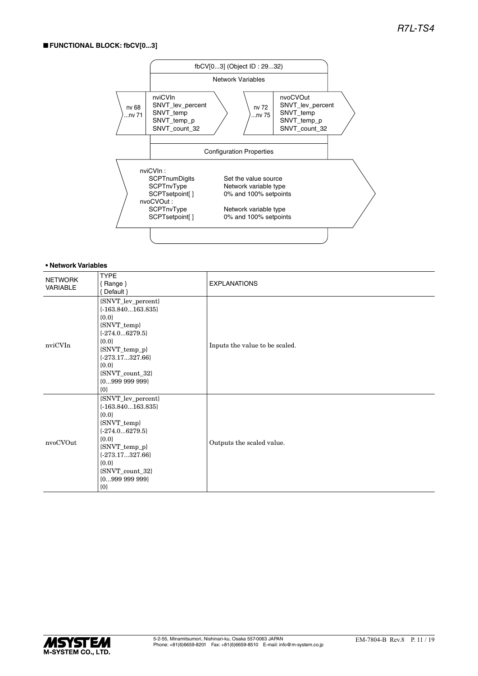#### ■ **FUNCTIONAL BLOCK: fbCV[0...3]**



| <b>NETWORK</b><br>VARIABLE | <b>TYPE</b><br>${Range}$<br>{Default }                                                                                                                                                                        | <b>EXPLANATIONS</b>            |
|----------------------------|---------------------------------------------------------------------------------------------------------------------------------------------------------------------------------------------------------------|--------------------------------|
| nviCVIn                    | {SNVT_lev_percent}<br>$\{-163.840163.835\}$<br>${0.0}$<br>{SNVT_temp}<br>$\{-274.06279.5\}$<br>${0.0}$<br>{SNVT_temp_p}<br>$\{-273.17327.66\}$<br>${0.0}$<br>{SNVT_count_32}<br>${099999999}$<br>$\{0\}$      | Inputs the value to be scaled. |
| nvoCVOut                   | {SNVT_lev_percent}<br>$\{-163.840163.835\}$<br>${0.0}$<br>{SNVT_temp}<br>$\{-274.06279.5\}$<br>${0.0}$<br>$\{SNVT\_temp_p\}$<br>$\{-273.17327.66\}$<br>${0.0}$<br>{SNVT_count_32}<br>${099999999}$<br>$\{0\}$ | Outputs the scaled value.      |

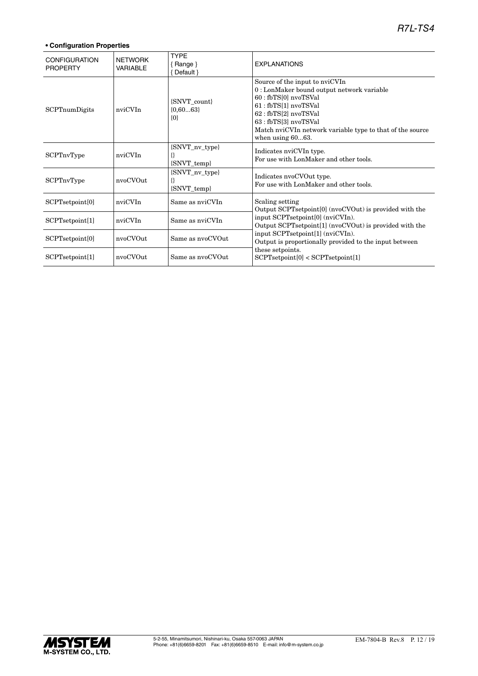| <b>CONFIGURATION</b><br><b>PROPERTY</b> | <b>NFTWORK</b><br><b>VARIABLE</b> | <b>TYPE</b><br>$\{$ Range $\}$<br>{ Default } | <b>EXPLANATIONS</b>                                                                                                                                                                                                                                                |
|-----------------------------------------|-----------------------------------|-----------------------------------------------|--------------------------------------------------------------------------------------------------------------------------------------------------------------------------------------------------------------------------------------------------------------------|
| SCPTnumDigits                           | nviCVIn                           | {SNVT count}<br>${0,6063}$<br>$\{0\}$         | Source of the input to nviCVIn<br>0: LonMaker bound output network variable<br>60 : fbTS[0] nvoTSVal<br>61 : fbTS[1] nvoTSVal<br>62: fbTS[2] nvoTSVal<br>63 : fbTS[3] nvoTSVal<br>Match nviCVIn network variable type to that of the source<br>when using $6063$ . |
| SCPTnvType                              | nviCVIn                           | {SNVT_nv_type}<br>₩<br>{SNVT_temp}            | Indicates nviCVIn type.<br>For use with LonMaker and other tools.                                                                                                                                                                                                  |
| SCPTnvType                              | nvoCVOut                          | {SNVT_nv_type}<br>{SNVT_temp}                 | Indicates nvoCVOut type.<br>For use with LonMaker and other tools.                                                                                                                                                                                                 |
| SCPTsetpoint[0]                         | nviCVIn                           | Same as nviCVIn                               | Scaling setting<br>Output SCPTsetpoint [0] (nvoCVOut) is provided with the                                                                                                                                                                                         |
| SCPTsetpoint[1]                         | nviCVIn                           | Same as nviCVIn                               | input SCPTsetpoint[0] (nviCVIn).<br>Output SCPTsetpoint[1] (nvoCVOut) is provided with the                                                                                                                                                                         |
| SCPTsetpoint[0]                         | nvoCVOut                          | Same as nvoCVOut                              | input SCPTsetpoint[1] (nviCVIn).<br>Output is proportionally provided to the input between                                                                                                                                                                         |
| SCPTsetpoint[1]                         | nvoCVOut                          | Same as nyoCVOut                              | these setpoints.<br>SCPT setpoint[0] < SCPT setpoint[1]                                                                                                                                                                                                            |

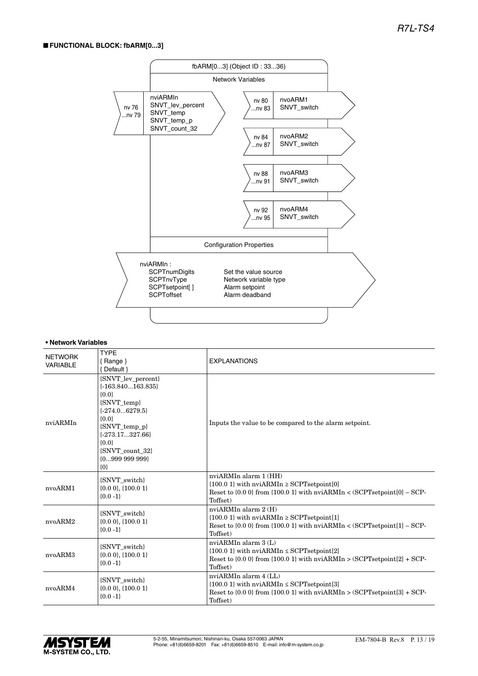#### ■ **FUNCTIONAL BLOCK: fbARM[0...3]**



| <b>NETWORK</b><br>VARIABLE | <b>TYPE</b><br>$\{$ Range $\}$<br>{ Default }                                                                                                                                                                 | <b>EXPLANATIONS</b>                                                                                                                                                             |
|----------------------------|---------------------------------------------------------------------------------------------------------------------------------------------------------------------------------------------------------------|---------------------------------------------------------------------------------------------------------------------------------------------------------------------------------|
| nviARMIn                   | {SNVT_lev_percent}<br>$\{-163.840163.835\}$<br>${0.0}$<br>{SNVT_temp}<br>$\{-274.06279.5\}$<br>${0.0}$<br>$\{SNVT\_temp_p\}$<br>$\{-273.17327.66\}$<br>${0.0}$<br>{SNVT_count_32}<br>${099999999}$<br>$\{0\}$ | Inputs the value to be compared to the alarm setpoint.                                                                                                                          |
| nvoARM1                    | {SNVT switch}<br>$\{0.0\ 0\},\{100.0\ 1\}$<br>${0.0 -1}$                                                                                                                                                      | nviARMIn alarm 1 (HH)<br>${100.0 \text{ 1}}$ with nviARMIn $\ge$ SCPTsetpoint[0]<br>Reset to $\{0.0\}$ from $\{100.0\}$ with nviARMIn < (SCPTsetpoint $[0]$ – SCP-<br>Toffset)  |
| nvoARM2                    | {SNVT_switch}<br>$\{0.0\ 0\},\{100.0\ 1\}$<br>${0.0 -1}$                                                                                                                                                      | nvi $ARMIn$ alarm $2(H)$<br>$\{100.01\}$ with nviARMIn $\geq$ SCPT set point [1]<br>Reset to $\{0.0\}$ from $\{100.0\}$ with nviARMIn < (SCPTsetpoint $[1]$ – SCP-<br>Toffset)  |
| nvoARM3                    | {SNVT_switch}<br>$\{0.0\ 0\},\{100.0\ 1\}$<br>${0.0 - 1}$                                                                                                                                                     | nviARMIn alarm 3 (L)<br>$\{100.01\}$ with nviARMIn $\leq$ SCPTsetpoint[2]<br>Reset to $\{0.0\}$ from $\{100.0\}$ with nviARMIn > $(SCPT set point[2] + SCP -$<br>Toffset)       |
| nvoARM4                    | {SNVT switch}<br>$\{0.0\ 0\},\{100.0\ 1\}$<br>${0.0 -1}$                                                                                                                                                      | nviARMIn alarm 4 (LL)<br>$\{100.0$ 1} with nvi<br>ARMIn $\le$ SCPTs<br>etpoint[3]<br>Reset to $\{0.0\}$ from $\{100.0\}$ with nviARMIn > $(SCPT setpoint[3] + SCP-$<br>Toffset) |

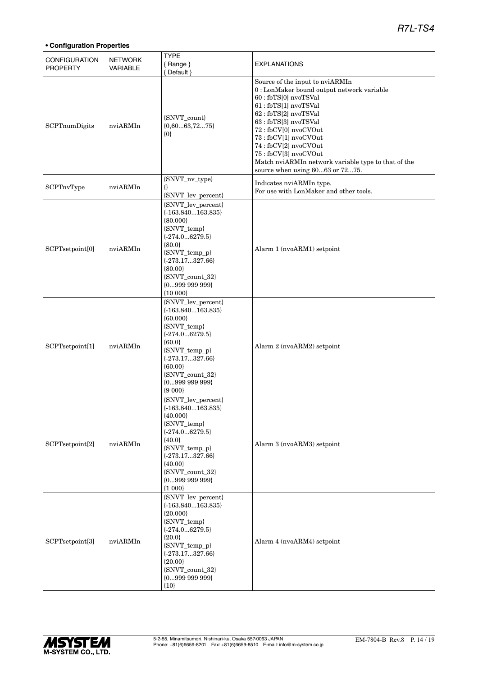| <b>CONFIGURATION</b><br><b>PROPERTY</b> | <b>NETWORK</b><br>VARIABLE | <b>TYPE</b><br>{Range}<br>{ Default }                                                                                                                                                                                                   | <b>EXPLANATIONS</b>                                                                                                                                                                                                                                                                                                                                                         |
|-----------------------------------------|----------------------------|-----------------------------------------------------------------------------------------------------------------------------------------------------------------------------------------------------------------------------------------|-----------------------------------------------------------------------------------------------------------------------------------------------------------------------------------------------------------------------------------------------------------------------------------------------------------------------------------------------------------------------------|
| SCPTnumDigits                           | nviARMIn                   | {SNVT_count}<br>${0,6063,7275}$<br>$\{0\}$                                                                                                                                                                                              | Source of the input to nviARMIn<br>0 : LonMaker bound output network variable<br>60 : fbTS[0] nvoTSVal<br>61 : fbTS[1] nvoTSVal<br>62: fbTS[2] nvoTSVal<br>63 : fbTS[3] nvoTSVal<br>72: fbCV[0] nvoCVOut<br>73: fbCV[1] nvoCVOut<br>74 : fbCV[2] nvoCVOut<br>75: fbCV[3] nvoCVOut<br>Match nviARMIn network variable type to that of the<br>source when using 6063 or 7275. |
| SCPTnvType                              | nviARMIn                   | {SNVT_nv_type}<br>₿<br>{SNVT_lev_percent}                                                                                                                                                                                               | Indicates nviARMIn type.<br>For use with LonMaker and other tools.                                                                                                                                                                                                                                                                                                          |
| SCPTsetpoint[0]                         | nviARMIn                   | {SNVT_lev_percent}<br>$\{-163.840163.835\}$<br>${80.000}$<br>{SNVT_temp}<br>${-274.06279.5}$<br>${80.0}$<br>$\{S NVT\_temp\_p\}$<br>$\{-273.17327.66\}$<br>${80.00}$<br>{SNVT_count_32}<br>${099999999}$<br>${10000}$                   | Alarm 1 (nvoARM1) setpoint                                                                                                                                                                                                                                                                                                                                                  |
| SCPTsetpoint[1]                         | nviARMIn                   | {SNVT_lev_percent}<br>$\{-163.840163.835\}$<br>${60.000}$<br>{SNVT_temp}<br>${-274.06279.5}$<br>${60.0}$<br>{SNVT_temp_p}<br>$\{-273.17327.66\}$<br>${60.00}$<br>{SNVT_count_32}<br>${099999999}$<br>${9000}$                           | Alarm 2 (nvoARM2) setpoint                                                                                                                                                                                                                                                                                                                                                  |
| SCPTsetpoint[2]                         | nviARMIn                   | {SNVT_lev_percent}<br>$\{-163.840163.835\}$<br>${40.000}$<br>{SNVT_temp}<br>${-274.06279.5}$<br>${40.0}$<br>{SNVT_temp_p}<br>$\{-273.17327.66\}$<br>${40.00}$<br>$\left\{ \text{SNVT\_count\_32} \right\}$<br>${099999999}$<br>${1000}$ | Alarm 3 (nvoARM3) setpoint                                                                                                                                                                                                                                                                                                                                                  |
| SCPTsetpoint[3]                         | nviARMIn                   | {SNVT_lev_percent}<br>$\{-163.840163.835\}$<br>${20.000}$<br>{SNVT_temp}<br>${-274.06279.5}$<br>${20.0}$<br>{SNVT_temp_p}<br>$\{-273.17327.66\}$<br>${20.00}$<br>{SNVT_count_32}<br>${099999999}$<br>${10}$                             | Alarm 4 (nvoARM4) setpoint                                                                                                                                                                                                                                                                                                                                                  |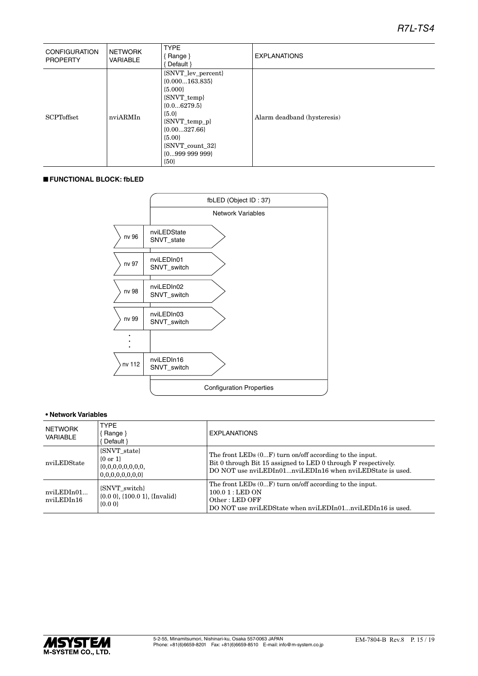| <b>CONFIGURATION</b><br><b>PROPERTY</b> | NETWORK<br>VARIABLE | <b>TYPE</b><br>Range }<br>Default }                                                                                                                                                           | <b>EXPLANATIONS</b>         |
|-----------------------------------------|---------------------|-----------------------------------------------------------------------------------------------------------------------------------------------------------------------------------------------|-----------------------------|
| <b>SCPToffset</b>                       | nviARMIn            | {SNVT_lev_percent}<br>$\{0.000163.835\}$<br>${5.000}$<br>{SNVT_temp}<br>${0.06279.5}$<br>${5.0}$<br>{SNVT_temp_p}<br>${0.00327.66}$<br>${5.00}$<br>{SNVT count 32}<br>${099999999}$<br>${50}$ | Alarm deadband (hysteresis) |

#### ■ **FUNCTIONAL BLOCK: fbLED**



| NETWORK<br>VARIABLE      | <b>TYPE</b><br>Range }<br>Default }                                              | <b>EXPLANATIONS</b>                                                                                                                                                                      |
|--------------------------|----------------------------------------------------------------------------------|------------------------------------------------------------------------------------------------------------------------------------------------------------------------------------------|
| nviLEDState              | <b>SNVT</b> state<br>$\{0 \text{ or } 1\}$<br>0,0,0,0,0,0,0,0                    | The front LEDs $(0F)$ turn on/off according to the input.<br>Bit 0 through Bit 15 assigned to LED 0 through F respectively.<br>DO NOT use nviLEDIn01nviLEDIn16 when nviLEDState is used. |
| nviLEDIn01<br>nviLEDIn16 | <b>SNVT</b> switch<br>$\{0.0\ 0\}$ , $\{100.0\ 1\}$ , $\{Invalid\}$<br>$\{0.0\}$ | The front LEDs $(0F)$ turn on/off according to the input.<br>$100.01$ : LED ON<br>Other: LED OFF<br>DO NOT use nviLEDState when nviLEDIn01nviLEDIn16 is used.                            |

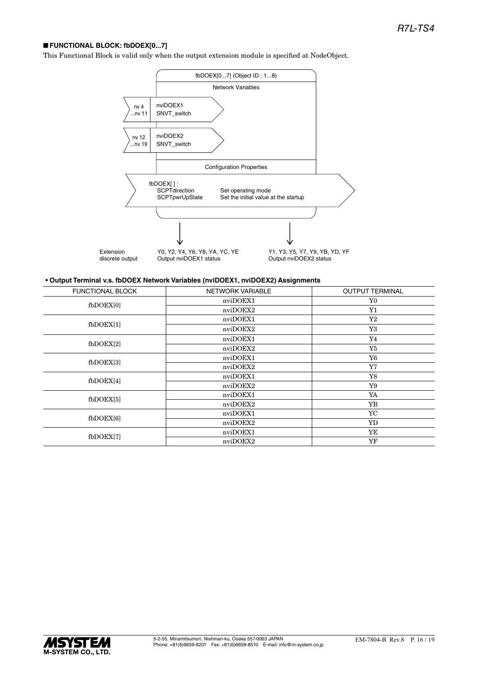#### ■ **FUNCTIONAL BLOCK: fbDOEX[0...7]**

This Functional Block is valid only when the output extension module is specified at NodeObject.



#### **• Output Terminal v.s. fbDOEX Network Variables (nviDOEX1, nviDOEX2) Assignments**

| <b>FUNCTIONAL BLOCK</b> | NETWORK VARIABLE | <b>OUTPUT TERMINAL</b> |
|-------------------------|------------------|------------------------|
| fbDOEX[0]               | nviDOEX1         | Y0                     |
|                         | nviDOEX2         | ${\rm Y1}$             |
|                         | nviDOEX1         | $\rm Y2$               |
| $f_{\rm bDOEX[1]}$      | nviDOEX2         | Y3                     |
| $f_{\rm bDOEX[2]}$      | nviDOEX1         | Y4                     |
|                         | nviDOEX2         | Y5                     |
| $f_{\rm bDOEX[3]}$      | nviDOEX1         | Y6                     |
|                         | nviDOEX2         | Y7                     |
| $f_{\text{bDOEX[4]}}$   | nviDOEX1         | Y8                     |
|                         | nviDOEX2         | Y9                     |
| $f_{\text{bDOEX[5]}}$   | nviDOEX1         | YA                     |
|                         | nviDOEX2         | YB                     |
| fbDOEX[6]               | nviDOEX1         | YC                     |
|                         | nviDOEX2         | YD                     |
| $f_{\rm bDOEX[7]}$      | nviDOEX1         | YE                     |
|                         | nviDOEX2         | YF                     |

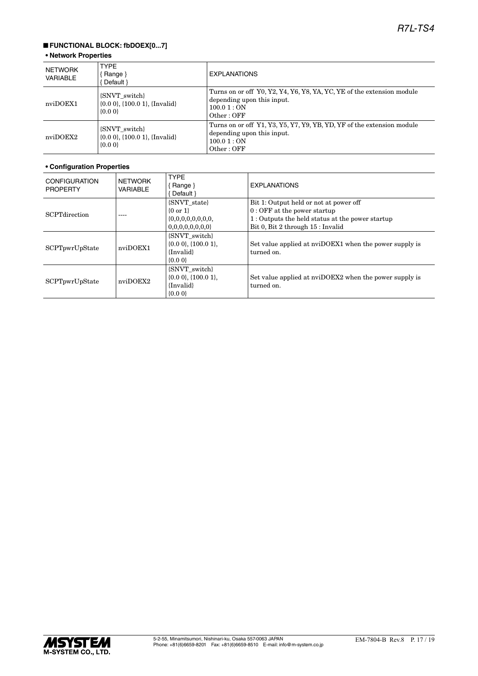### ■ **FUNCTIONAL BLOCK: fbDOEX[0...7]**

#### **• Network Properties**

| NETWORK<br>VARIABLE | <b>TYPE</b><br>Range $\}$<br>Default }                                      | <b>EXPLANATIONS</b>                                                                                                            |
|---------------------|-----------------------------------------------------------------------------|--------------------------------------------------------------------------------------------------------------------------------|
| nviDOEX1            | {SNVT_switch}<br>$\{0.0\ 0\}$ , $\{100.0\ 1\}$ , $\{Invalid\}$<br>$\{0.0\}$ | Turns on or off Y0, Y2, Y4, Y6, Y8, YA, YC, YE of the extension module<br>depending upon this input.<br>100.01:ON<br>Other:OFF |
| nviDOEX2            | {SNVT switch}<br>$\{0.0\ 0\}$ , $\{100.0\ 1\}$ , $\{Invalid\}$<br>$\{0.0\}$ | Turns on or off Y1, Y3, Y5, Y7, Y9, YB, YD, YF of the extension module<br>depending upon this input.<br>100.01:ON<br>Other:OFF |

| <b>CONFIGURATION</b><br><b>PROPERTY</b> | <b>NETWORK</b><br><b>VARIABLE</b> | <b>TYPE</b><br>$\{$ Range $\}$<br>Default }                            | <b>EXPLANATIONS</b>                                                                                                                                             |
|-----------------------------------------|-----------------------------------|------------------------------------------------------------------------|-----------------------------------------------------------------------------------------------------------------------------------------------------------------|
| <b>SCPT</b> direction                   |                                   | {SNVT state}<br>$\{0 \text{ or } 1\}$<br>0,0,0,0,0,0,0,0               | Bit 1: Output held or not at power off<br>$0:$ OFF at the power startup<br>1: Outputs the held status at the power startup<br>Bit 0, Bit 2 through 15 : Invalid |
| SCPTpwrUpState                          | nviDOEX1                          | {SNVT switch}<br>$\{0.0\,0\},\{100.0\,1\},\$<br>{Invalid}<br>$\{0.0\}$ | Set value applied at nviDOEX1 when the power supply is<br>turned on.                                                                                            |
| SCPTpwrUpState                          | nviDOEX2                          | {SNVT switch}<br>$\{0.0\,0\},\{100.0\,1\}.$<br>{Invalid}<br>$\{0.0\}$  | Set value applied at nviDOEX2 when the power supply is<br>turned on.                                                                                            |

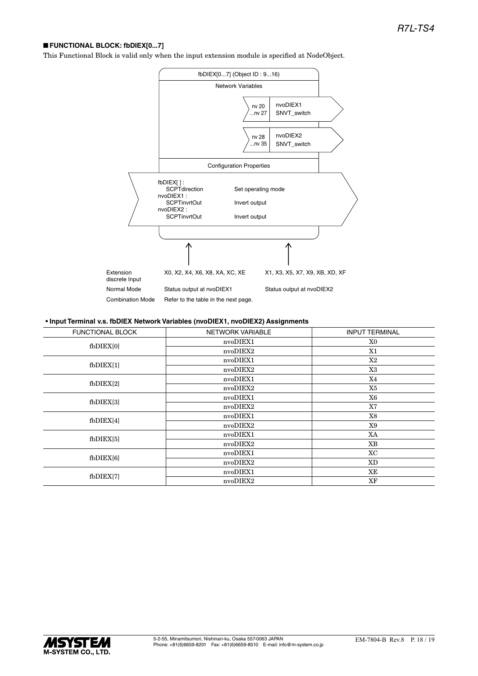#### ■ **FUNCTIONAL BLOCK: fbDIEX[0...7]**

This Functional Block is valid only when the input extension module is specified at NodeObject.



#### **• Input Terminal v.s. fbDIEX Network Variables (nvoDIEX1, nvoDIEX2) Assignments**

| <b>FUNCTIONAL BLOCK</b> | <b>NETWORK VARIABLE</b> | <b>INPUT TERMINAL</b> |
|-------------------------|-------------------------|-----------------------|
| $f$ b $DIEX[0]$         | nvoDIEX1                | X0                    |
|                         | nvoDIEX2                | X1                    |
| $f$ b $DIEX[1]$         | nvoDIEX1                | X2                    |
|                         | nvoDIEX2                | X3                    |
| $f$ b $DIEX[2]$         | nvoDIEX1                | X4                    |
|                         | nvoDIEX2                | X5                    |
| $f$ b $DIEX[3]$         | nvoDIEX1                | X6                    |
|                         | nvoDIEX2                | X7                    |
| fbDIEX[4]               | nvoDIEX1                | X8                    |
|                         | nvoDIEX2                | X9                    |
| $f_{\rm bDIEX[5]}$      | nvoDIEX1                | XA                    |
|                         | nvoDIEX2                | <b>XB</b>             |
| $f$ b $DIEX[6]$         | nvoDIEX1                | XC                    |
|                         | nvoDIEX2                | XD                    |
| $f$ b $DIEX[7]$         | nvoDIEX1                | XЕ                    |
|                         | nvoDIEX2                | XF                    |
|                         |                         |                       |